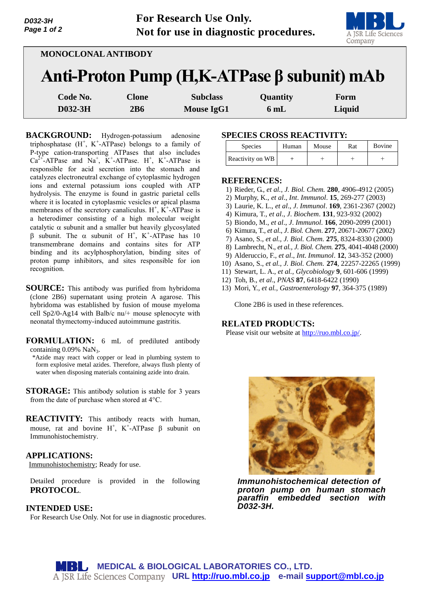

| D032-3H     |  |
|-------------|--|
| Page 1 of 2 |  |
|             |  |

| MONOCLONAL ANTIBODY                               |              |                   |          |        |  |  |  |
|---------------------------------------------------|--------------|-------------------|----------|--------|--|--|--|
| Anti-Proton Pump $(H,K-ATPase \beta$ subunit) mAb |              |                   |          |        |  |  |  |
| Code No.                                          | <b>Clone</b> | <b>Subclass</b>   | Quantity | Form   |  |  |  |
| D032-3H                                           | 2B6          | <b>Mouse IgG1</b> | 6mL      | Liquid |  |  |  |

**BACKGROUND:** Hydrogen-potassium adenosine triphosphatase  $(H^+, K^+$ -ATPase) belongs to a family of P-type cation-transporting ATPases that also includes  $Ca^{2+}-ATP$ ase and  $Na^{+}$ , K<sup>+</sup>-ATPase. H<sup>+</sup>, K<sup>+</sup>-ATPase is responsible for acid secretion into the stomach and catalyzes electroneutral exchange of cytoplasmic hydrogen ions and external potassium ions coupled with ATP hydrolysis. The enzyme is found in gastric parietal cells where it is located in cytoplasmic vesicles or apical plasma membranes of the secretory canaliculus.  $H^+$ ,  $K^+$ -ATPase is a heterodimer consisting of a high molecular weight catalytic  $\alpha$  subunit and a smaller but heavily glycosylated  $\beta$  subunit. The  $\alpha$  subunit of H<sup>+</sup>, K<sup>+</sup>-ATPase has 10 transmembrane domains and contains sites for ATP binding and its acylphosphorylation, binding sites of proton pump inhibitors, and sites responsible for ion recognition.

**SOURCE:** This antibody was purified from hybridoma (clone 2B6) supernatant using protein A agarose. This hybridoma was established by fusion of mouse myeloma cell Sp2/0-Ag14 with Balb/c nu/+ mouse splenocyte with neonatal thymectomy-induced autoimmune gastritis.

**FORMULATION:** 6 mL of prediluted antibody containing  $0.09\%$  NaN<sub>3</sub>.

\*Azide may react with copper or lead in plumbing system to form explosive metal azides. Therefore, always flush plenty of water when disposing materials containing azide into drain.

**STORAGE:** This antibody solution is stable for 3 years from the date of purchase when stored at 4°C.

**REACTIVITY:** This antibody reacts with human, mouse, rat and bovine  $H^+$ , K<sup>+</sup>-ATPase  $\beta$  subunit on Immunohistochemistry.

## **APPLICATIONS:**

Immunohistochemistry; Ready for use.

Detailed procedure is provided in the following **PROTOCOL**.

## **INTENDED USE:**

For Research Use Only. Not for use in diagnostic procedures.

# **SPECIES CROSS REACTIVITY:**

| <b>Species</b>   | Human | Mouse | Rat | Bovine |
|------------------|-------|-------|-----|--------|
| Reactivity on WB |       |       |     |        |

## **REFERENCES:**

- 1) Rieder, G., *et al., J. Biol. Chem.* **280**, 4906-4912 (2005)
- 2) Murphy, K., *et al*., *Int*. *Immunol*. **15**, 269-277 (2003)
- 3) Laurie, K. L., *et al*., *J*. *Immunol*. **169**, 2361-2367 (2002)
- 4) Kimura, T., *et al*., *J*. *Biochem*. **131**, 923-932 (2002)
- 5) Biondo, M., *et al*., *J*. *Immunol*. **166**, 2090-2099 (2001)
- 6) Kimura, T., *et al*., *J*. *Biol. Chem*. **277**, 20671-20677 (2002)
- 7) Asano, S., *et al., J. Biol. Chem.* **275**, 8324-8330 (2000)
- 8) Lambrecht, N., *et al., J. Biol. Chem.* **275**, 4041-4048 (2000)
- 9) Alderuccio, F., *et al*., *Int*. *Immunol*. **12**, 343-352 (2000)
- 10) Asano, S., *et al., J. Biol. Chem.* **274**, 22257-22265 (1999)
- 11) Stewart, L. A., *et al., Glycobiology* **9**, 601-606 (1999)
- 12) Toh, B., *et al*., *PNAS* **87**, 6418-6422 (1990)
- 13) Mori, Y., *et al., Gastroenterology* **97**, 364-375 (1989)

Clone 2B6 is used in these references.

# **RELATED PRODUCTS:**

Please visit our website at [http://ruo.mbl.co.jp/.](http://ruo.mbl.co.jp/)



*Immunohistochemical detection of proton pump on human stomach paraffin embedded section with D032-3H.*